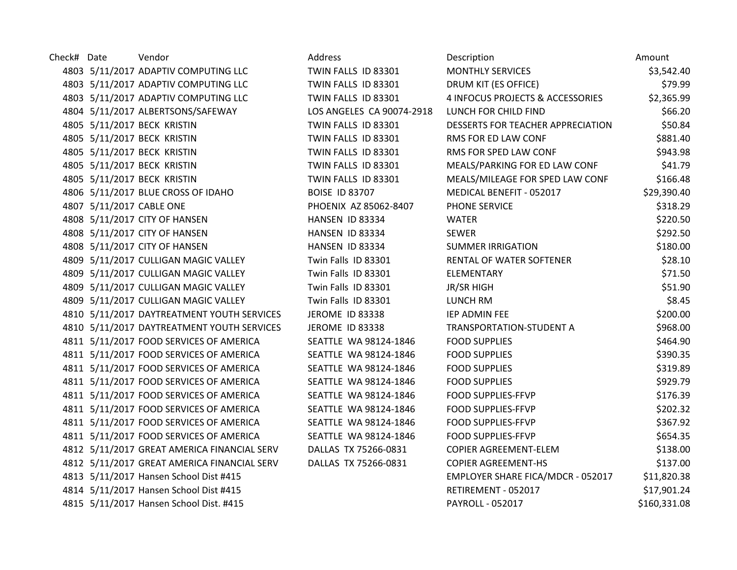| Check# Date |                          | Vendor                                      | Address                   | Description                       | Amount       |
|-------------|--------------------------|---------------------------------------------|---------------------------|-----------------------------------|--------------|
|             |                          | 4803 5/11/2017 ADAPTIV COMPUTING LLC        | TWIN FALLS ID 83301       | <b>MONTHLY SERVICES</b>           | \$3,542.40   |
|             |                          | 4803 5/11/2017 ADAPTIV COMPUTING LLC        | TWIN FALLS ID 83301       | DRUM KIT (ES OFFICE)              | \$79.99      |
|             |                          | 4803 5/11/2017 ADAPTIV COMPUTING LLC        | TWIN FALLS ID 83301       | 4 INFOCUS PROJECTS & ACCESSORIES  | \$2,365.99   |
|             |                          | 4804 5/11/2017 ALBERTSONS/SAFEWAY           | LOS ANGELES CA 90074-2918 | LUNCH FOR CHILD FIND              | \$66.20      |
|             |                          | 4805 5/11/2017 BECK KRISTIN                 | TWIN FALLS ID 83301       | DESSERTS FOR TEACHER APPRECIATION | \$50.84      |
|             |                          | 4805 5/11/2017 BECK KRISTIN                 | TWIN FALLS ID 83301       | RMS FOR ED LAW CONF               | \$881.40     |
|             |                          | 4805 5/11/2017 BECK KRISTIN                 | TWIN FALLS ID 83301       | RMS FOR SPED LAW CONF             | \$943.98     |
|             |                          | 4805 5/11/2017 BECK KRISTIN                 | TWIN FALLS ID 83301       | MEALS/PARKING FOR ED LAW CONF     | \$41.79      |
|             |                          | 4805 5/11/2017 BECK KRISTIN                 | TWIN FALLS ID 83301       | MEALS/MILEAGE FOR SPED LAW CONF   | \$166.48     |
|             |                          | 4806 5/11/2017 BLUE CROSS OF IDAHO          | <b>BOISE ID 83707</b>     | MEDICAL BENEFIT - 052017          | \$29,390.40  |
|             | 4807 5/11/2017 CABLE ONE |                                             | PHOENIX AZ 85062-8407     | PHONE SERVICE                     | \$318.29     |
|             |                          | 4808 5/11/2017 CITY OF HANSEN               | HANSEN ID 83334           | <b>WATER</b>                      | \$220.50     |
|             |                          | 4808 5/11/2017 CITY OF HANSEN               | HANSEN ID 83334           | <b>SEWER</b>                      | \$292.50     |
|             |                          | 4808 5/11/2017 CITY OF HANSEN               | HANSEN ID 83334           | <b>SUMMER IRRIGATION</b>          | \$180.00     |
|             |                          | 4809 5/11/2017 CULLIGAN MAGIC VALLEY        | Twin Falls ID 83301       | RENTAL OF WATER SOFTENER          | \$28.10      |
|             |                          | 4809 5/11/2017 CULLIGAN MAGIC VALLEY        | Twin Falls ID 83301       | <b>ELEMENTARY</b>                 | \$71.50      |
|             |                          | 4809 5/11/2017 CULLIGAN MAGIC VALLEY        | Twin Falls ID 83301       | <b>JR/SR HIGH</b>                 | \$51.90      |
|             |                          | 4809 5/11/2017 CULLIGAN MAGIC VALLEY        | Twin Falls ID 83301       | LUNCH RM                          | \$8.45       |
|             |                          | 4810 5/11/2017 DAYTREATMENT YOUTH SERVICES  | JEROME ID 83338           | IEP ADMIN FEE                     | \$200.00     |
|             |                          | 4810 5/11/2017 DAYTREATMENT YOUTH SERVICES  | JEROME ID 83338           | TRANSPORTATION-STUDENT A          | \$968.00     |
|             |                          | 4811 5/11/2017 FOOD SERVICES OF AMERICA     | SEATTLE WA 98124-1846     | <b>FOOD SUPPLIES</b>              | \$464.90     |
|             |                          | 4811 5/11/2017 FOOD SERVICES OF AMERICA     | SEATTLE WA 98124-1846     | <b>FOOD SUPPLIES</b>              | \$390.35     |
|             |                          | 4811 5/11/2017 FOOD SERVICES OF AMERICA     | SEATTLE WA 98124-1846     | <b>FOOD SUPPLIES</b>              | \$319.89     |
|             |                          | 4811 5/11/2017 FOOD SERVICES OF AMERICA     | SEATTLE WA 98124-1846     | <b>FOOD SUPPLIES</b>              | \$929.79     |
|             |                          | 4811 5/11/2017 FOOD SERVICES OF AMERICA     | SEATTLE WA 98124-1846     | <b>FOOD SUPPLIES-FFVP</b>         | \$176.39     |
|             |                          | 4811 5/11/2017 FOOD SERVICES OF AMERICA     | SEATTLE WA 98124-1846     | <b>FOOD SUPPLIES-FFVP</b>         | \$202.32     |
|             |                          | 4811 5/11/2017 FOOD SERVICES OF AMERICA     | SEATTLE WA 98124-1846     | <b>FOOD SUPPLIES-FFVP</b>         | \$367.92     |
|             |                          | 4811 5/11/2017 FOOD SERVICES OF AMERICA     | SEATTLE WA 98124-1846     | <b>FOOD SUPPLIES-FFVP</b>         | \$654.35     |
|             |                          | 4812 5/11/2017 GREAT AMERICA FINANCIAL SERV | DALLAS TX 75266-0831      | <b>COPIER AGREEMENT-ELEM</b>      | \$138.00     |
|             |                          | 4812 5/11/2017 GREAT AMERICA FINANCIAL SERV | DALLAS TX 75266-0831      | <b>COPIER AGREEMENT-HS</b>        | \$137.00     |
|             |                          | 4813 5/11/2017 Hansen School Dist #415      |                           | EMPLOYER SHARE FICA/MDCR - 052017 | \$11,820.38  |
|             |                          | 4814 5/11/2017 Hansen School Dist #415      |                           | RETIREMENT - 052017               | \$17,901.24  |
|             |                          | 4815 5/11/2017 Hansen School Dist. #415     |                           | PAYROLL - 052017                  | \$160,331.08 |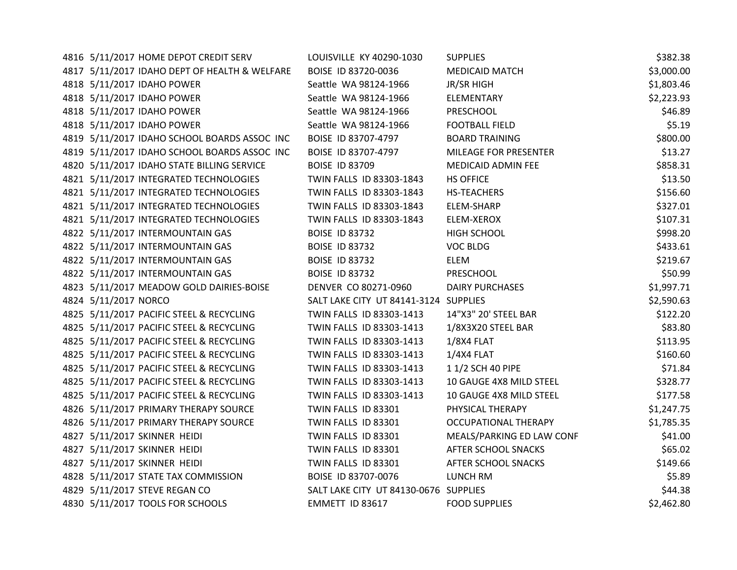| 4816 5/11/2017 HOME DEPOT CREDIT SERV         | LOUISVILLE KY 40290-1030              | <b>SUPPLIES</b>             | \$382.38   |
|-----------------------------------------------|---------------------------------------|-----------------------------|------------|
| 4817 5/11/2017 IDAHO DEPT OF HEALTH & WELFARE | BOISE ID 83720-0036                   | <b>MEDICAID MATCH</b>       | \$3,000.00 |
| 4818 5/11/2017 IDAHO POWER                    | Seattle WA 98124-1966                 | <b>JR/SR HIGH</b>           | \$1,803.46 |
| 4818 5/11/2017 IDAHO POWER                    | Seattle WA 98124-1966                 | ELEMENTARY                  | \$2,223.93 |
| 4818 5/11/2017 IDAHO POWER                    | Seattle WA 98124-1966                 | PRESCHOOL                   | \$46.89    |
| 4818 5/11/2017 IDAHO POWER                    | Seattle WA 98124-1966                 | <b>FOOTBALL FIELD</b>       | \$5.19     |
| 4819 5/11/2017 IDAHO SCHOOL BOARDS ASSOC INC  | BOISE ID 83707-4797                   | <b>BOARD TRAINING</b>       | \$800.00   |
| 4819 5/11/2017 IDAHO SCHOOL BOARDS ASSOC INC  | BOISE ID 83707-4797                   | MILEAGE FOR PRESENTER       | \$13.27    |
| 4820 5/11/2017 IDAHO STATE BILLING SERVICE    | <b>BOISE ID 83709</b>                 | MEDICAID ADMIN FEE          | \$858.31   |
| 4821 5/11/2017 INTEGRATED TECHNOLOGIES        | TWIN FALLS ID 83303-1843              | <b>HS OFFICE</b>            | \$13.50    |
| 4821 5/11/2017 INTEGRATED TECHNOLOGIES        | TWIN FALLS ID 83303-1843              | HS-TEACHERS                 | \$156.60   |
| 4821 5/11/2017 INTEGRATED TECHNOLOGIES        | TWIN FALLS ID 83303-1843              | ELEM-SHARP                  | \$327.01   |
| 4821 5/11/2017 INTEGRATED TECHNOLOGIES        | TWIN FALLS ID 83303-1843              | ELEM-XEROX                  | \$107.31   |
| 4822 5/11/2017 INTERMOUNTAIN GAS              | <b>BOISE ID 83732</b>                 | <b>HIGH SCHOOL</b>          | \$998.20   |
| 4822 5/11/2017 INTERMOUNTAIN GAS              | <b>BOISE ID 83732</b>                 | <b>VOC BLDG</b>             | \$433.61   |
| 4822 5/11/2017 INTERMOUNTAIN GAS              | <b>BOISE ID 83732</b>                 | ELEM                        | \$219.67   |
| 4822 5/11/2017 INTERMOUNTAIN GAS              | <b>BOISE ID 83732</b>                 | PRESCHOOL                   | \$50.99    |
| 4823 5/11/2017 MEADOW GOLD DAIRIES-BOISE      | DENVER CO 80271-0960                  | <b>DAIRY PURCHASES</b>      | \$1,997.71 |
| 4824 5/11/2017 NORCO                          | SALT LAKE CITY UT 84141-3124 SUPPLIES |                             | \$2,590.63 |
| 4825 5/11/2017 PACIFIC STEEL & RECYCLING      | TWIN FALLS ID 83303-1413              | 14"X3" 20' STEEL BAR        | \$122.20   |
| 4825 5/11/2017 PACIFIC STEEL & RECYCLING      | TWIN FALLS ID 83303-1413              | 1/8X3X20 STEEL BAR          | \$83.80    |
| 4825 5/11/2017 PACIFIC STEEL & RECYCLING      | TWIN FALLS ID 83303-1413              | 1/8X4 FLAT                  | \$113.95   |
| 4825 5/11/2017 PACIFIC STEEL & RECYCLING      | TWIN FALLS ID 83303-1413              | $1/4X4$ FLAT                | \$160.60   |
| 4825 5/11/2017 PACIFIC STEEL & RECYCLING      | TWIN FALLS ID 83303-1413              | 1 1/2 SCH 40 PIPE           | \$71.84    |
| 4825 5/11/2017 PACIFIC STEEL & RECYCLING      | TWIN FALLS ID 83303-1413              | 10 GAUGE 4X8 MILD STEEL     | \$328.77   |
| 4825 5/11/2017 PACIFIC STEEL & RECYCLING      | TWIN FALLS ID 83303-1413              | 10 GAUGE 4X8 MILD STEEL     | \$177.58   |
| 4826 5/11/2017 PRIMARY THERAPY SOURCE         | TWIN FALLS ID 83301                   | PHYSICAL THERAPY            | \$1,247.75 |
| 4826 5/11/2017 PRIMARY THERAPY SOURCE         | TWIN FALLS ID 83301                   | <b>OCCUPATIONAL THERAPY</b> | \$1,785.35 |
| 4827 5/11/2017 SKINNER HEIDI                  | TWIN FALLS ID 83301                   | MEALS/PARKING ED LAW CONF   | \$41.00    |
| 4827 5/11/2017 SKINNER HEIDI                  | TWIN FALLS ID 83301                   | AFTER SCHOOL SNACKS         | \$65.02    |
| 4827 5/11/2017 SKINNER HEIDI                  | TWIN FALLS ID 83301                   | AFTER SCHOOL SNACKS         | \$149.66   |
| 4828 5/11/2017 STATE TAX COMMISSION           | BOISE ID 83707-0076                   | LUNCH RM                    | \$5.89     |
| 4829 5/11/2017 STEVE REGAN CO                 | SALT LAKE CITY UT 84130-0676 SUPPLIES |                             | \$44.38    |
| 4830 5/11/2017 TOOLS FOR SCHOOLS              | EMMETT ID 83617                       | <b>FOOD SUPPLIES</b>        | \$2,462.80 |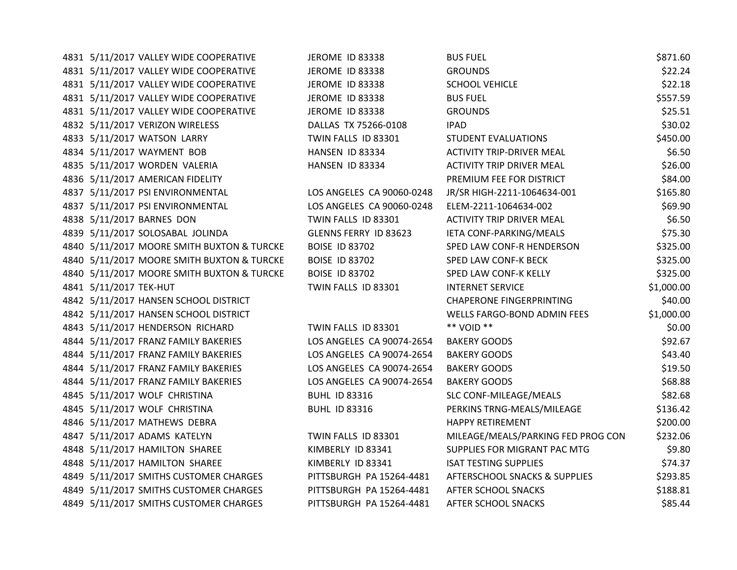| 4831 5/11/2017 VALLEY WIDE COOPERATIVE     | JEROME ID 83338           | <b>BUS FUEL</b>                    | \$871.60   |
|--------------------------------------------|---------------------------|------------------------------------|------------|
| 4831 5/11/2017 VALLEY WIDE COOPERATIVE     | JEROME ID 83338           | <b>GROUNDS</b>                     | \$22.24    |
| 4831 5/11/2017 VALLEY WIDE COOPERATIVE     | JEROME ID 83338           | <b>SCHOOL VEHICLE</b>              | \$22.18    |
| 4831 5/11/2017 VALLEY WIDE COOPERATIVE     | JEROME ID 83338           | <b>BUS FUEL</b>                    | \$557.59   |
| 4831 5/11/2017 VALLEY WIDE COOPERATIVE     | JEROME ID 83338           | <b>GROUNDS</b>                     | \$25.51    |
| 4832 5/11/2017 VERIZON WIRELESS            | DALLAS TX 75266-0108      | <b>IPAD</b>                        | \$30.02    |
| 4833 5/11/2017 WATSON LARRY                | TWIN FALLS ID 83301       | <b>STUDENT EVALUATIONS</b>         | \$450.00   |
| 4834 5/11/2017 WAYMENT BOB                 | HANSEN ID 83334           | <b>ACTIVITY TRIP-DRIVER MEAL</b>   | \$6.50     |
| 4835 5/11/2017 WORDEN VALERIA              | HANSEN ID 83334           | <b>ACTIVITY TRIP DRIVER MEAL</b>   | \$26.00    |
| 4836 5/11/2017 AMERICAN FIDELITY           |                           | PREMIUM FEE FOR DISTRICT           | \$84.00    |
| 4837 5/11/2017 PSI ENVIRONMENTAL           | LOS ANGELES CA 90060-0248 | JR/SR HIGH-2211-1064634-001        | \$165.80   |
| 4837 5/11/2017 PSI ENVIRONMENTAL           | LOS ANGELES CA 90060-0248 | ELEM-2211-1064634-002              | \$69.90    |
| 4838 5/11/2017 BARNES DON                  | TWIN FALLS ID 83301       | <b>ACTIVITY TRIP DRIVER MEAL</b>   | \$6.50     |
| 4839 5/11/2017 SOLOSABAL JOLINDA           | GLENNS FERRY ID 83623     | IETA CONF-PARKING/MEALS            | \$75.30    |
| 4840 5/11/2017 MOORE SMITH BUXTON & TURCKE | <b>BOISE ID 83702</b>     | SPED LAW CONF-R HENDERSON          | \$325.00   |
| 4840 5/11/2017 MOORE SMITH BUXTON & TURCKE | <b>BOISE ID 83702</b>     | SPED LAW CONF-K BECK               | \$325.00   |
| 4840 5/11/2017 MOORE SMITH BUXTON & TURCKE | <b>BOISE ID 83702</b>     | SPED LAW CONF-K KELLY              | \$325.00   |
| 4841 5/11/2017 TEK-HUT                     | TWIN FALLS ID 83301       | <b>INTERNET SERVICE</b>            | \$1,000.00 |
| 4842 5/11/2017 HANSEN SCHOOL DISTRICT      |                           | <b>CHAPERONE FINGERPRINTING</b>    | \$40.00    |
| 4842 5/11/2017 HANSEN SCHOOL DISTRICT      |                           | WELLS FARGO-BOND ADMIN FEES        | \$1,000.00 |
| 4843 5/11/2017 HENDERSON RICHARD           | TWIN FALLS ID 83301       | ** VOID **                         | \$0.00     |
| 4844 5/11/2017 FRANZ FAMILY BAKERIES       | LOS ANGELES CA 90074-2654 | <b>BAKERY GOODS</b>                | \$92.67    |
| 4844 5/11/2017 FRANZ FAMILY BAKERIES       | LOS ANGELES CA 90074-2654 | <b>BAKERY GOODS</b>                | \$43.40    |
| 4844 5/11/2017 FRANZ FAMILY BAKERIES       | LOS ANGELES CA 90074-2654 | <b>BAKERY GOODS</b>                | \$19.50    |
| 4844 5/11/2017 FRANZ FAMILY BAKERIES       | LOS ANGELES CA 90074-2654 | <b>BAKERY GOODS</b>                | \$68.88    |
| 4845 5/11/2017 WOLF CHRISTINA              | <b>BUHL ID 83316</b>      | SLC CONF-MILEAGE/MEALS             | \$82.68    |
| 4845 5/11/2017 WOLF CHRISTINA              | <b>BUHL ID 83316</b>      | PERKINS TRNG-MEALS/MILEAGE         | \$136.42   |
| 4846 5/11/2017 MATHEWS DEBRA               |                           | <b>HAPPY RETIREMENT</b>            | \$200.00   |
| 4847 5/11/2017 ADAMS KATELYN               | TWIN FALLS ID 83301       | MILEAGE/MEALS/PARKING FED PROG CON | \$232.06   |
| 4848 5/11/2017 HAMILTON SHAREE             | KIMBERLY ID 83341         | SUPPLIES FOR MIGRANT PAC MTG       | \$9.80     |
| 4848 5/11/2017 HAMILTON SHAREE             | KIMBERLY ID 83341         | <b>ISAT TESTING SUPPLIES</b>       | \$74.37    |
| 4849 5/11/2017 SMITHS CUSTOMER CHARGES     | PITTSBURGH PA 15264-4481  | AFTERSCHOOL SNACKS & SUPPLIES      | \$293.85   |
| 4849 5/11/2017 SMITHS CUSTOMER CHARGES     | PITTSBURGH PA 15264-4481  | AFTER SCHOOL SNACKS                | \$188.81   |
| 4849 5/11/2017 SMITHS CUSTOMER CHARGES     | PITTSBURGH PA 15264-4481  | <b>AFTER SCHOOL SNACKS</b>         | \$85.44    |